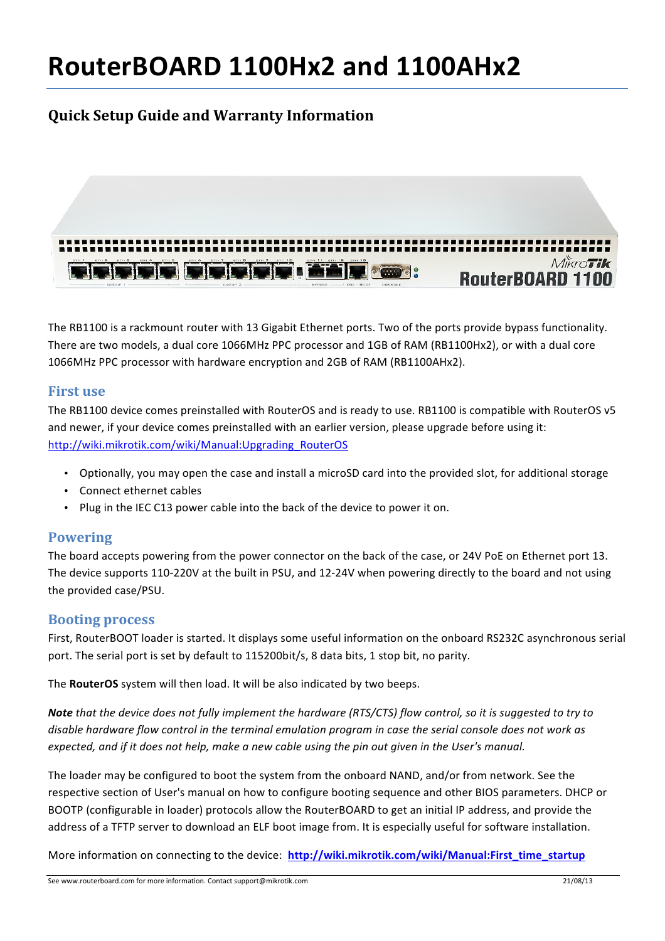# **RouterBOARD 1100Hx2 and 1100AHx2**

# **Quick Setup Guide and Warranty Information**



The RB1100 is a rackmount router with 13 Gigabit Ethernet ports. Two of the ports provide bypass functionality. There are two models, a dual core 1066MHz PPC processor and 1GB of RAM (RB1100Hx2), or with a dual core 1066MHz PPC processor with hardware encryption and 2GB of RAM (RB1100AHx2).

### **First use**

The RB1100 device comes preinstalled with RouterOS and is ready to use. RB1100 is compatible with RouterOS v5 and newer, if your device comes preinstalled with an earlier version, please upgrade before using it: http://wiki.mikrotik.com/wiki/Manual:Upgrading\_RouterOS

- Optionally, you may open the case and install a microSD card into the provided slot, for additional storage
- Connect ethernet cables
- Plug in the IEC C13 power cable into the back of the device to power it on.

## **Powering**

The board accepts powering from the power connector on the back of the case, or 24V PoE on Ethernet port 13. The device supports 110-220V at the built in PSU, and 12-24V when powering directly to the board and not using the provided case/PSU.

#### **Booting process**

First, RouterBOOT loader is started. It displays some useful information on the onboard RS232C asynchronous serial port. The serial port is set by default to 115200bit/s, 8 data bits, 1 stop bit, no parity.

The **RouterOS** system will then load. It will be also indicated by two beeps.

**Note** that the device does not fully implement the hardware (RTS/CTS) flow control, so it is suggested to try to disable hardware flow control in the terminal emulation program in case the serial console does not work as *expected, and if it does not help, make a new cable using the pin out given in the User's manual.* 

The loader may be configured to boot the system from the onboard NAND, and/or from network. See the respective section of User's manual on how to configure booting sequence and other BIOS parameters. DHCP or BOOTP (configurable in loader) protocols allow the RouterBOARD to get an initial IP address, and provide the address of a TFTP server to download an ELF boot image from. It is especially useful for software installation.

More information on connecting to the device: http://wiki.mikrotik.com/wiki/Manual:First\_time\_startup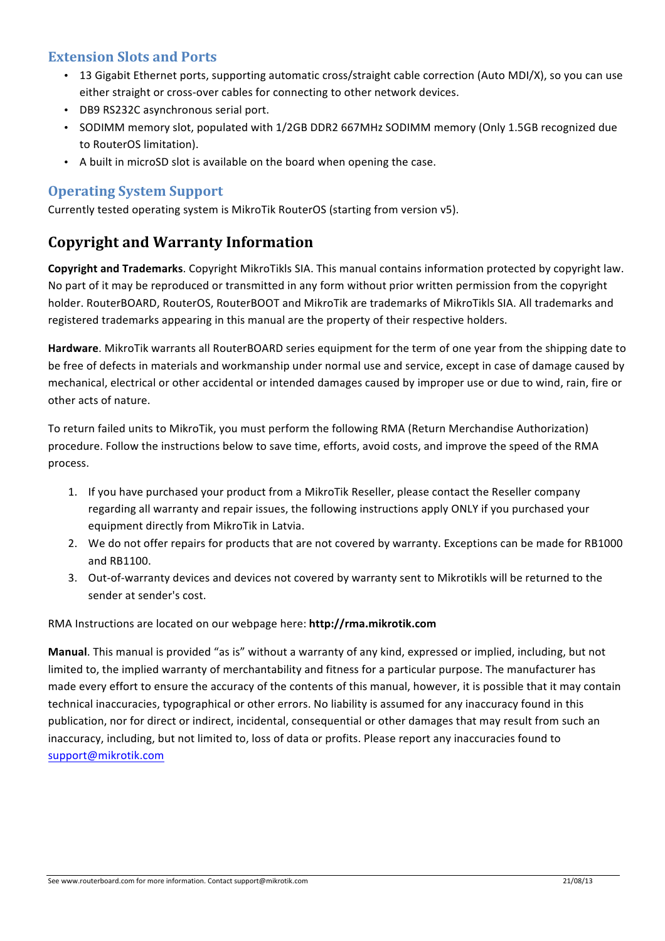# **Extension Slots and Ports**

- 13 Gigabit Ethernet ports, supporting automatic cross/straight cable correction (Auto MDI/X), so you can use either straight or cross-over cables for connecting to other network devices.
- DB9 RS232C asynchronous serial port.
- SODIMM memory slot, populated with 1/2GB DDR2 667MHz SODIMM memory (Only 1.5GB recognized due to RouterOS limitation).
- A built in microSD slot is available on the board when opening the case.

# **Operating System Support**

Currently tested operating system is MikroTik RouterOS (starting from version v5).

# **Copyright and Warranty Information**

**Copyright and Trademarks**. Copyright MikroTikls SIA. This manual contains information protected by copyright law. No part of it may be reproduced or transmitted in any form without prior written permission from the copyright holder. RouterBOARD, RouterOS, RouterBOOT and MikroTik are trademarks of MikroTikls SIA. All trademarks and registered trademarks appearing in this manual are the property of their respective holders.

**Hardware**. MikroTik warrants all RouterBOARD series equipment for the term of one year from the shipping date to be free of defects in materials and workmanship under normal use and service, except in case of damage caused by mechanical, electrical or other accidental or intended damages caused by improper use or due to wind, rain, fire or other acts of nature.

To return failed units to MikroTik, you must perform the following RMA (Return Merchandise Authorization) procedure. Follow the instructions below to save time, efforts, avoid costs, and improve the speed of the RMA process.

- 1. If you have purchased your product from a MikroTik Reseller, please contact the Reseller company regarding all warranty and repair issues, the following instructions apply ONLY if you purchased your equipment directly from MikroTik in Latvia.
- 2. We do not offer repairs for products that are not covered by warranty. Exceptions can be made for RB1000 and RB1100.
- 3. Out-of-warranty devices and devices not covered by warranty sent to Mikrotikls will be returned to the sender at sender's cost.

RMA Instructions are located on our webpage here: http://rma.mikrotik.com

**Manual**. This manual is provided "as is" without a warranty of any kind, expressed or implied, including, but not limited to, the implied warranty of merchantability and fitness for a particular purpose. The manufacturer has made every effort to ensure the accuracy of the contents of this manual, however, it is possible that it may contain technical inaccuracies, typographical or other errors. No liability is assumed for any inaccuracy found in this publication, nor for direct or indirect, incidental, consequential or other damages that may result from such an inaccuracy, including, but not limited to, loss of data or profits. Please report any inaccuracies found to support@mikrotik.com